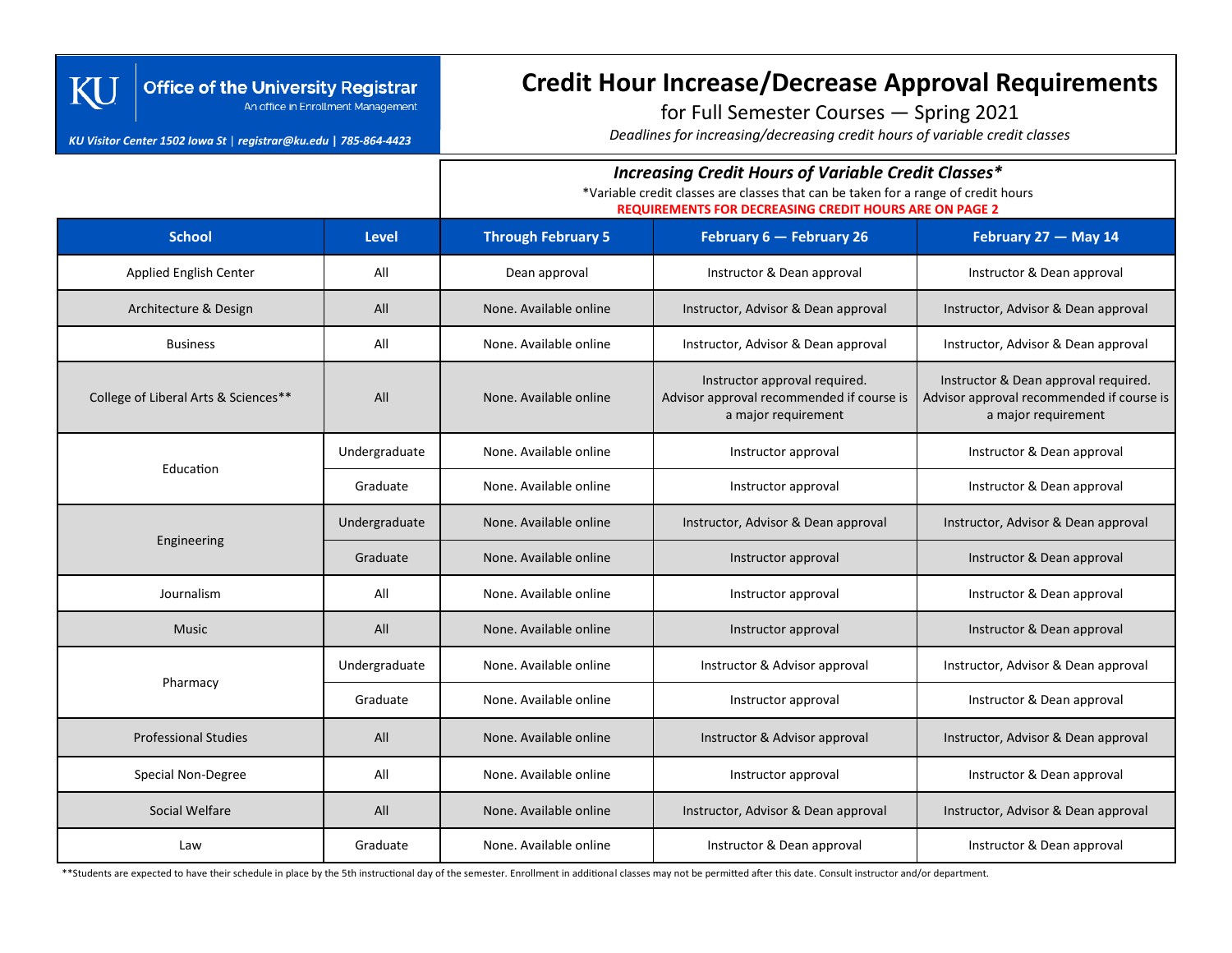#### **Office of the University Registrar** An office in Enrollment Management

#### *KU Visitor Center 1502 Iowa St* | *registrar@ku.edu* **|** *785-864-4423*

Kl

# **Credit Hour Increase/Decrease Approval Requirements**

for Full Semester Courses — Spring 2021

*Deadlines for increasing/decreasing credit hours of variable credit classes*

### *Increasing Credit Hours of Variable Credit Classes\**

\*Variable credit classes are classes that can be taken for a range of credit hours

**REQUIREMENTS FOR DECREASING CREDIT HOURS ARE ON PAGE 2**

| <b>School</b>                        | <b>Level</b>  | <b>Through February 5</b>                     | February 6 - February 26                                                                          | February 27 - May 14                                                                                     |
|--------------------------------------|---------------|-----------------------------------------------|---------------------------------------------------------------------------------------------------|----------------------------------------------------------------------------------------------------------|
| <b>Applied English Center</b>        | All           | Dean approval                                 | Instructor & Dean approval                                                                        | Instructor & Dean approval                                                                               |
| Architecture & Design                | All           | None. Available online                        | Instructor, Advisor & Dean approval                                                               | Instructor, Advisor & Dean approval                                                                      |
| <b>Business</b>                      | All           | None. Available online                        | Instructor, Advisor & Dean approval                                                               | Instructor, Advisor & Dean approval                                                                      |
| College of Liberal Arts & Sciences** | All           | None. Available online                        | Instructor approval required.<br>Advisor approval recommended if course is<br>a major requirement | Instructor & Dean approval required.<br>Advisor approval recommended if course is<br>a major requirement |
| Education                            | Undergraduate | None. Available online                        | Instructor approval                                                                               | Instructor & Dean approval                                                                               |
|                                      | Graduate      | None. Available online                        | Instructor approval                                                                               | Instructor & Dean approval                                                                               |
| Engineering                          | Undergraduate | None. Available online                        | Instructor, Advisor & Dean approval                                                               | Instructor, Advisor & Dean approval                                                                      |
|                                      | Graduate      | None. Available online                        | Instructor approval                                                                               | Instructor & Dean approval                                                                               |
| Journalism                           | All           | None. Available online                        | Instructor approval                                                                               | Instructor & Dean approval                                                                               |
| <b>Music</b>                         | All           | None. Available online                        | Instructor & Dean approval<br>Instructor approval                                                 |                                                                                                          |
| Pharmacy                             | Undergraduate | None. Available online                        | Instructor & Advisor approval                                                                     | Instructor, Advisor & Dean approval                                                                      |
|                                      | Graduate      | None. Available online<br>Instructor approval |                                                                                                   | Instructor & Dean approval                                                                               |
| <b>Professional Studies</b>          | All           | None. Available online                        | Instructor & Advisor approval                                                                     | Instructor, Advisor & Dean approval                                                                      |
| Special Non-Degree                   | All           | None. Available online                        | Instructor approval                                                                               | Instructor & Dean approval                                                                               |
| Social Welfare                       | All           | None. Available online                        | Instructor, Advisor & Dean approval<br>Instructor, Advisor & Dean approval                        |                                                                                                          |
| Law                                  | Graduate      | None. Available online                        | Instructor & Dean approval                                                                        | Instructor & Dean approval                                                                               |

\*\*Students are expected to have their schedule in place by the 5th instructional day of the semester. Enrollment in additional classes may not be permitted after this date. Consult instructor and/or department.